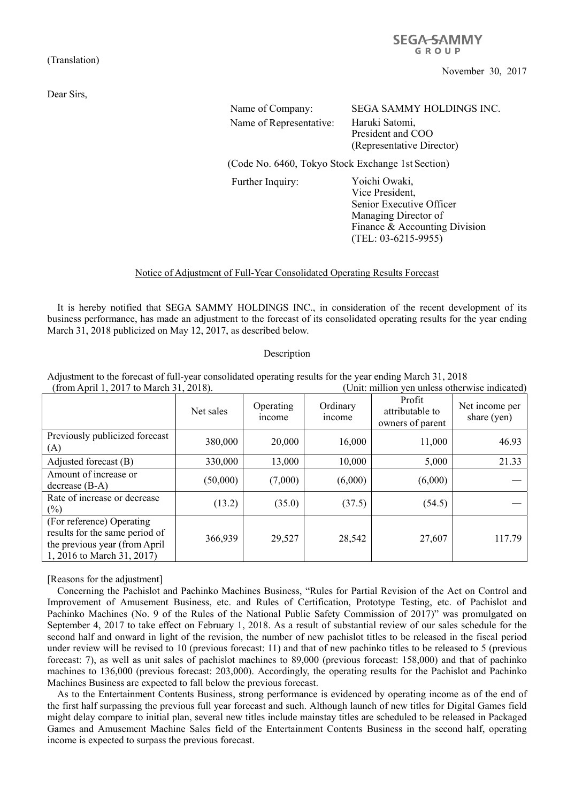(Translation)

Dear Sirs,

**SEGA-SAMMY** GROUP

November 30, 2017

| Name of Company:                                               | SEGA SAMMY HOLDINGS INC.  |
|----------------------------------------------------------------|---------------------------|
| Name of Representative:                                        | Haruki Satomi,            |
|                                                                | President and COO         |
|                                                                | (Representative Director) |
| $C_0$ de Ma $(A\ell 0$ Televa Ricely Evelesson Let $S$ estien) |                           |

(Code No. 6460, Tokyo Stock Exchange 1st Section)

Further Inquiry: Yoichi Owaki,

Vice President, Senior Executive Officer Managing Director of Finance & Accounting Division (TEL: 03-6215-9955)

## Notice of Adjustment of Full-Year Consolidated Operating Results Forecast

It is hereby notified that SEGA SAMMY HOLDINGS INC., in consideration of the recent development of its business performance, has made an adjustment to the forecast of its consolidated operating results for the year ending March 31, 2018 publicized on May 12, 2017, as described below.

## Description

Adjustment to the forecast of full-year consolidated operating results for the year ending March 31, 2018 (from April 1, 2017 to March 31, 2018). (Unit: million yen unless otherwise indicated)

|                                                                                                                            | Net sales | Operating<br><i>n</i> come | Ordinary<br>income | Profit<br>attributable to<br>owners of parent | Net income per<br>share (yen) |
|----------------------------------------------------------------------------------------------------------------------------|-----------|----------------------------|--------------------|-----------------------------------------------|-------------------------------|
| Previously publicized forecast<br>(A)                                                                                      | 380,000   | 20,000                     | 16,000             | 11,000                                        | 46.93                         |
| Adjusted forecast (B)                                                                                                      | 330,000   | 13,000                     | 10,000             | 5,000                                         | 21.33                         |
| Amount of increase or<br>$decrease (B-A)$                                                                                  | (50,000)  | (7,000)                    | (6,000)            | (6,000)                                       |                               |
| Rate of increase or decrease<br>$(\%)$                                                                                     | (13.2)    | (35.0)                     | (37.5)             | (54.5)                                        |                               |
| (For reference) Operating<br>results for the same period of<br>the previous year (from April<br>1, 2016 to March 31, 2017) | 366,939   | 29,527                     | 28,542             | 27,607                                        | 117.79                        |

[Reasons for the adjustment]

Concerning the Pachislot and Pachinko Machines Business, "Rules for Partial Revision of the Act on Control and Improvement of Amusement Business, etc. and Rules of Certification, Prototype Testing, etc. of Pachislot and Pachinko Machines (No. 9 of the Rules of the National Public Safety Commission of 2017)" was promulgated on September 4, 2017 to take effect on February 1, 2018. As a result of substantial review of our sales schedule for the second half and onward in light of the revision, the number of new pachislot titles to be released in the fiscal period under review will be revised to 10 (previous forecast: 11) and that of new pachinko titles to be released to 5 (previous forecast: 7), as well as unit sales of pachislot machines to 89,000 (previous forecast: 158,000) and that of pachinko machines to 136,000 (previous forecast: 203,000). Accordingly, the operating results for the Pachislot and Pachinko Machines Business are expected to fall below the previous forecast.

As to the Entertainment Contents Business, strong performance is evidenced by operating income as of the end of the first half surpassing the previous full year forecast and such. Although launch of new titles for Digital Games field might delay compare to initial plan, several new titles include mainstay titles are scheduled to be released in Packaged Games and Amusement Machine Sales field of the Entertainment Contents Business in the second half, operating income is expected to surpass the previous forecast.